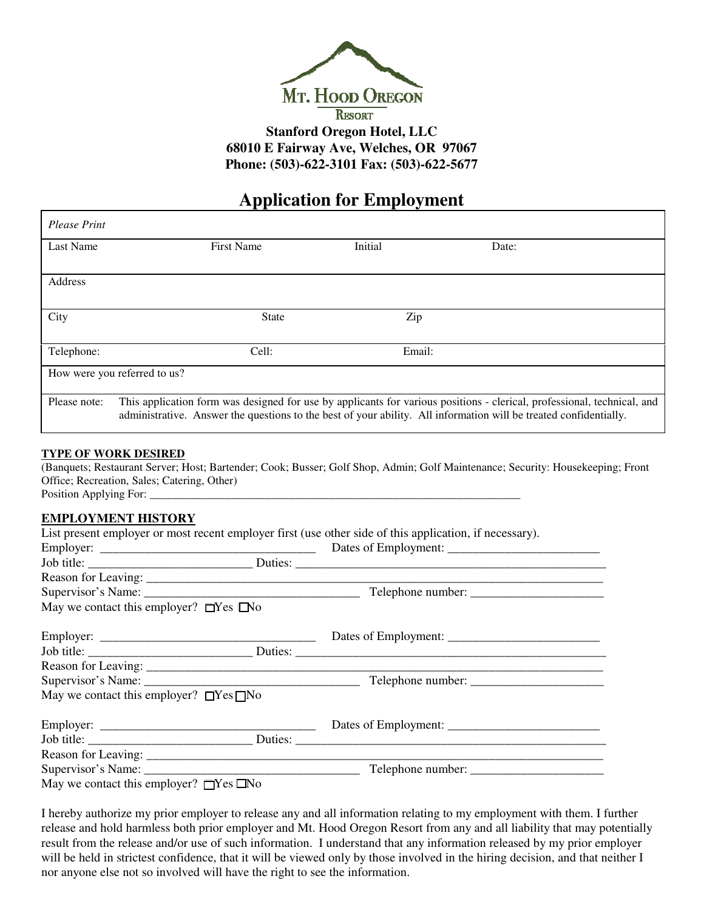

# **Application for Employment**

| <b>Please Print</b>          |                                                                                                                                                                                                                                              |         |       |  |  |  |  |
|------------------------------|----------------------------------------------------------------------------------------------------------------------------------------------------------------------------------------------------------------------------------------------|---------|-------|--|--|--|--|
| <b>Last Name</b>             | <b>First Name</b>                                                                                                                                                                                                                            | Initial | Date: |  |  |  |  |
| Address                      |                                                                                                                                                                                                                                              |         |       |  |  |  |  |
| City                         | <b>State</b>                                                                                                                                                                                                                                 | Zip     |       |  |  |  |  |
| Telephone:                   | Cell:                                                                                                                                                                                                                                        | Email:  |       |  |  |  |  |
| How were you referred to us? |                                                                                                                                                                                                                                              |         |       |  |  |  |  |
| Please note:                 | This application form was designed for use by applicants for various positions - clerical, professional, technical, and<br>administrative. Answer the questions to the best of your ability. All information will be treated confidentially. |         |       |  |  |  |  |

#### **TYPE OF WORK DESIRED**

(Banquets; Restaurant Server; Host; Bartender; Cook; Busser; Golf Shop, Admin; Golf Maintenance; Security: Housekeeping; Front Office; Recreation, Sales; Catering, Other) Position Applying For:

#### **EMPLOYMENT HISTORY**

List present employer or most recent employer first (use other side of this application, if necessary). Employer: \_\_\_\_\_\_\_\_\_\_\_\_\_\_\_\_\_\_\_\_\_\_\_\_\_\_\_\_\_\_\_\_\_\_ Dates of Employment: \_\_\_\_\_\_\_\_\_\_\_\_\_\_\_\_\_\_\_\_\_\_\_\_

| May we contact this employer? $\Box$ Yes $\Box$ No |  |  |  |
|----------------------------------------------------|--|--|--|
|                                                    |  |  |  |
|                                                    |  |  |  |
|                                                    |  |  |  |
|                                                    |  |  |  |
| May we contact this employer? $\Box$ Yes $\Box$ No |  |  |  |
|                                                    |  |  |  |
|                                                    |  |  |  |
|                                                    |  |  |  |
|                                                    |  |  |  |
| May we contact this employer? $\Box$ Yes $\Box$ No |  |  |  |

I hereby authorize my prior employer to release any and all information relating to my employment with them. I further release and hold harmless both prior employer and Mt. Hood Oregon Resort from any and all liability that may potentially result from the release and/or use of such information. I understand that any information released by my prior employer will be held in strictest confidence, that it will be viewed only by those involved in the hiring decision, and that neither I nor anyone else not so involved will have the right to see the information.